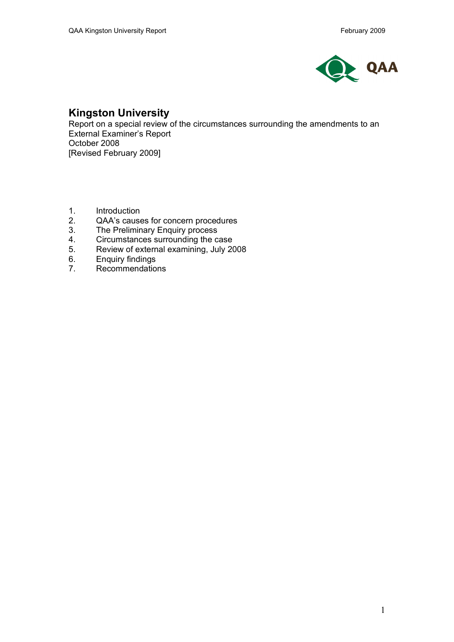

# **Kingston University**

Report on a special review of the circumstances surrounding the amendments to an External Examiner's Report October 2008 [Revised February 2009]

- 1. Introduction
- 2. QAA's causes for concern procedures<br>3. The Preliminary Enguiry process
- 3. The Preliminary Enquiry process<br>4. Circumstances surrounding the ca
- Circumstances surrounding the case
- 5. Review of external examining, July 2008
- 6. Enquiry findings<br>7. Recommendatio
- Recommendations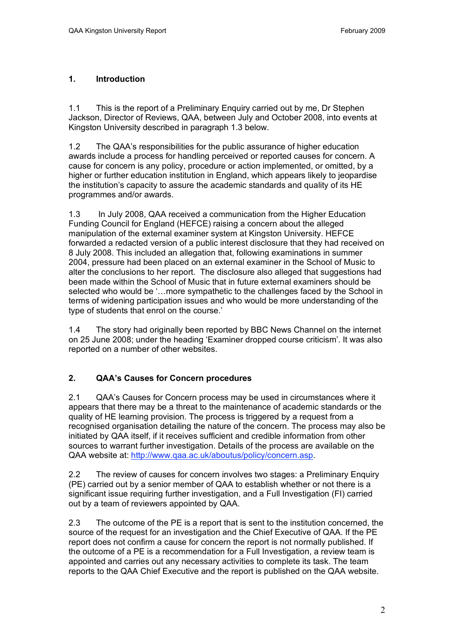### **1. Introduction**

1.1 This is the report of a Preliminary Enquiry carried out by me, Dr Stephen Jackson, Director of Reviews, QAA, between July and October 2008, into events at Kingston University described in paragraph 1.3 below.

1.2 The QAA's responsibilities for the public assurance of higher education awards include a process for handling perceived or reported causes for concern. A cause for concern is any policy, procedure or action implemented, or omitted, by a higher or further education institution in England, which appears likely to jeopardise the institution's capacity to assure the academic standards and quality of its HE programmes and/or awards.

1.3 In July 2008, QAA received a communication from the Higher Education Funding Council for England (HEFCE) raising a concern about the alleged manipulation of the external examiner system at Kingston University. HEFCE forwarded a redacted version of a public interest disclosure that they had received on 8 July 2008. This included an allegation that, following examinations in summer 2004, pressure had been placed on an external examiner in the School of Music to alter the conclusions to her report. The disclosure also alleged that suggestions had been made within the School of Music that in future external examiners should be selected who would be '…more sympathetic to the challenges faced by the School in terms of widening participation issues and who would be more understanding of the type of students that enrol on the course.'

1.4 The story had originally been reported by BBC News Channel on the internet on 25 June 2008; under the heading 'Examiner dropped course criticism'. It was also reported on a number of other websites.

# **2. QAA's Causes for Concern procedures**

2.1 QAA's Causes for Concern process may be used in circumstances where it appears that there may be a threat to the maintenance of academic standards or the quality of HE learning provision. The process is triggered by a request from a recognised organisation detailing the nature of the concern. The process may also be initiated by QAA itself, if it receives sufficient and credible information from other sources to warrant further investigation. Details of the process are available on the QAA website at: http://www.qaa.ac.uk/aboutus/policy/concern.asp.

2.2 The review of causes for concern involves two stages: a Preliminary Enquiry (PE) carried out by a senior member of QAA to establish whether or not there is a significant issue requiring further investigation, and a Full Investigation (FI) carried out by a team of reviewers appointed by QAA.

2.3 The outcome of the PE is a report that is sent to the institution concerned, the source of the request for an investigation and the Chief Executive of QAA. If the PE report does not confirm a cause for concern the report is not normally published. If the outcome of a PE is a recommendation for a Full Investigation, a review team is appointed and carries out any necessary activities to complete its task. The team reports to the QAA Chief Executive and the report is published on the QAA website.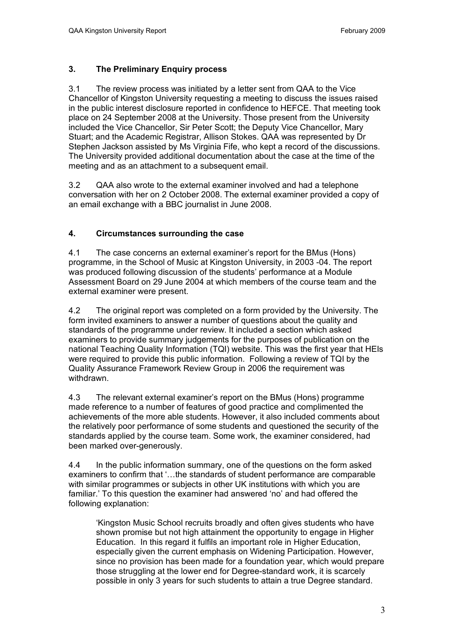### **3. The Preliminary Enquiry process**

3.1 The review process was initiated by a letter sent from QAA to the Vice Chancellor of Kingston University requesting a meeting to discuss the issues raised in the public interest disclosure reported in confidence to HEFCE. That meeting took place on 24 September 2008 at the University. Those present from the University included the Vice Chancellor, Sir Peter Scott; the Deputy Vice Chancellor, Mary Stuart; and the Academic Registrar, Allison Stokes. QAA was represented by Dr Stephen Jackson assisted by Ms Virginia Fife, who kept a record of the discussions. The University provided additional documentation about the case at the time of the meeting and as an attachment to a subsequent email.

3.2 QAA also wrote to the external examiner involved and had a telephone conversation with her on 2 October 2008. The external examiner provided a copy of an email exchange with a BBC journalist in June 2008.

#### **4. Circumstances surrounding the case**

4.1 The case concerns an external examiner's report for the BMus (Hons) programme, in the School of Music at Kingston University, in 2003 -04. The report was produced following discussion of the students' performance at a Module Assessment Board on 29 June 2004 at which members of the course team and the external examiner were present.

4.2 The original report was completed on a form provided by the University. The form invited examiners to answer a number of questions about the quality and standards of the programme under review. It included a section which asked examiners to provide summary judgements for the purposes of publication on the national Teaching Quality Information (TQI) website. This was the first year that HEIs were required to provide this public information. Following a review of TQI by the Quality Assurance Framework Review Group in 2006 the requirement was withdrawn.

4.3 The relevant external examiner's report on the BMus (Hons) programme made reference to a number of features of good practice and complimented the achievements of the more able students. However, it also included comments about the relatively poor performance of some students and questioned the security of the standards applied by the course team. Some work, the examiner considered, had been marked over-generously.

4.4 In the public information summary, one of the questions on the form asked examiners to confirm that '…the standards of student performance are comparable with similar programmes or subjects in other UK institutions with which you are familiar.' To this question the examiner had answered 'no' and had offered the following explanation:

'Kingston Music School recruits broadly and often gives students who have shown promise but not high attainment the opportunity to engage in Higher Education. In this regard it fulfils an important role in Higher Education, especially given the current emphasis on Widening Participation. However, since no provision has been made for a foundation year, which would prepare those struggling at the lower end for Degree-standard work, it is scarcely possible in only 3 years for such students to attain a true Degree standard.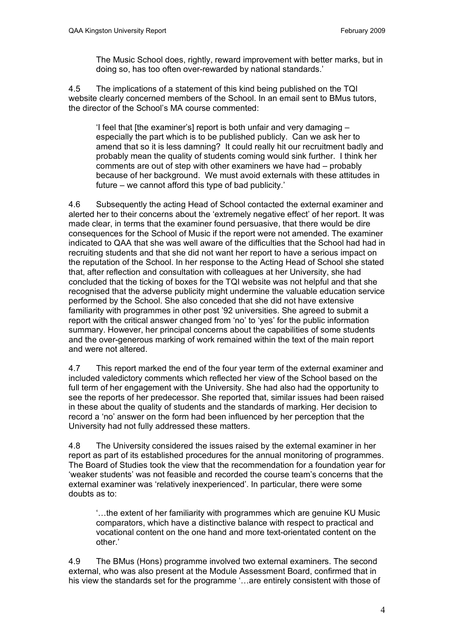The Music School does, rightly, reward improvement with better marks, but in doing so, has too often over-rewarded by national standards.'

4.5 The implications of a statement of this kind being published on the TQI website clearly concerned members of the School. In an email sent to BMus tutors, the director of the School's MA course commented:

'I feel that [the examiner's] report is both unfair and very damaging – especially the part which is to be published publicly. Can we ask her to amend that so it is less damning? It could really hit our recruitment badly and probably mean the quality of students coming would sink further. I think her comments are out of step with other examiners we have had – probably because of her background. We must avoid externals with these attitudes in future – we cannot afford this type of bad publicity.'

4.6 Subsequently the acting Head of School contacted the external examiner and alerted her to their concerns about the 'extremely negative effect' of her report. It was made clear, in terms that the examiner found persuasive, that there would be dire consequences for the School of Music if the report were not amended. The examiner indicated to QAA that she was well aware of the difficulties that the School had had in recruiting students and that she did not want her report to have a serious impact on the reputation of the School. In her response to the Acting Head of School she stated that, after reflection and consultation with colleagues at her University, she had concluded that the ticking of boxes for the TQI website was not helpful and that she recognised that the adverse publicity might undermine the valuable education service performed by the School. She also conceded that she did not have extensive familiarity with programmes in other post '92 universities. She agreed to submit a report with the critical answer changed from 'no' to 'yes' for the public information summary. However, her principal concerns about the capabilities of some students and the over-generous marking of work remained within the text of the main report and were not altered.

4.7 This report marked the end of the four year term of the external examiner and included valedictory comments which reflected her view of the School based on the full term of her engagement with the University. She had also had the opportunity to see the reports of her predecessor. She reported that, similar issues had been raised in these about the quality of students and the standards of marking. Her decision to record a 'no' answer on the form had been influenced by her perception that the University had not fully addressed these matters.

4.8 The University considered the issues raised by the external examiner in her report as part of its established procedures for the annual monitoring of programmes. The Board of Studies took the view that the recommendation for a foundation year for 'weaker students' was not feasible and recorded the course team's concerns that the external examiner was 'relatively inexperienced'. In particular, there were some doubts as to:

'…the extent of her familiarity with programmes which are genuine KU Music comparators, which have a distinctive balance with respect to practical and vocational content on the one hand and more text-orientated content on the other.'

4.9 The BMus (Hons) programme involved two external examiners. The second external, who was also present at the Module Assessment Board, confirmed that in his view the standards set for the programme '…are entirely consistent with those of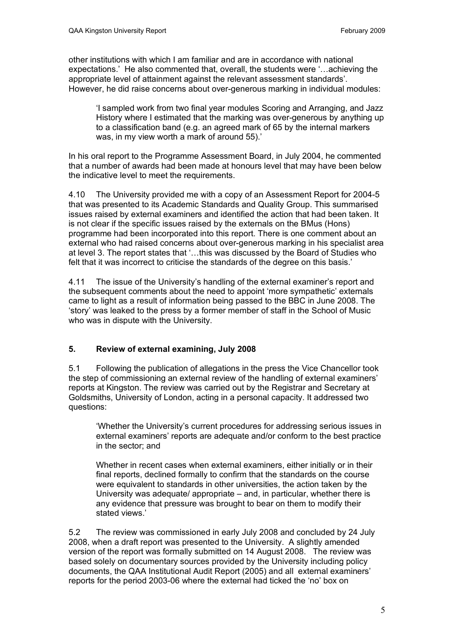other institutions with which I am familiar and are in accordance with national expectations.' He also commented that, overall, the students were '…achieving the appropriate level of attainment against the relevant assessment standards'. However, he did raise concerns about over-generous marking in individual modules:

'I sampled work from two final year modules Scoring and Arranging, and Jazz History where I estimated that the marking was over-generous by anything up to a classification band (e.g. an agreed mark of 65 by the internal markers was, in my view worth a mark of around 55).'

In his oral report to the Programme Assessment Board, in July 2004, he commented that a number of awards had been made at honours level that may have been below the indicative level to meet the requirements.

4.10 The University provided me with a copy of an Assessment Report for 2004-5 that was presented to its Academic Standards and Quality Group. This summarised issues raised by external examiners and identified the action that had been taken. It is not clear if the specific issues raised by the externals on the BMus (Hons) programme had been incorporated into this report. There is one comment about an external who had raised concerns about over-generous marking in his specialist area at level 3. The report states that '…this was discussed by the Board of Studies who felt that it was incorrect to criticise the standards of the degree on this basis.'

4.11 The issue of the University's handling of the external examiner's report and the subsequent comments about the need to appoint 'more sympathetic' externals came to light as a result of information being passed to the BBC in June 2008. The 'story' was leaked to the press by a former member of staff in the School of Music who was in dispute with the University.

#### **5. Review of external examining, July 2008**

5.1 Following the publication of allegations in the press the Vice Chancellor took the step of commissioning an external review of the handling of external examiners' reports at Kingston. The review was carried out by the Registrar and Secretary at Goldsmiths, University of London, acting in a personal capacity. It addressed two questions:

'Whether the University's current procedures for addressing serious issues in external examiners' reports are adequate and/or conform to the best practice in the sector; and

Whether in recent cases when external examiners, either initially or in their final reports, declined formally to confirm that the standards on the course were equivalent to standards in other universities, the action taken by the University was adequate/ appropriate – and, in particular, whether there is any evidence that pressure was brought to bear on them to modify their stated views.'

5.2 The review was commissioned in early July 2008 and concluded by 24 July 2008, when a draft report was presented to the University. A slightly amended version of the report was formally submitted on 14 August 2008. The review was based solely on documentary sources provided by the University including policy documents, the QAA Institutional Audit Report (2005) and all external examiners' reports for the period 2003-06 where the external had ticked the 'no' box on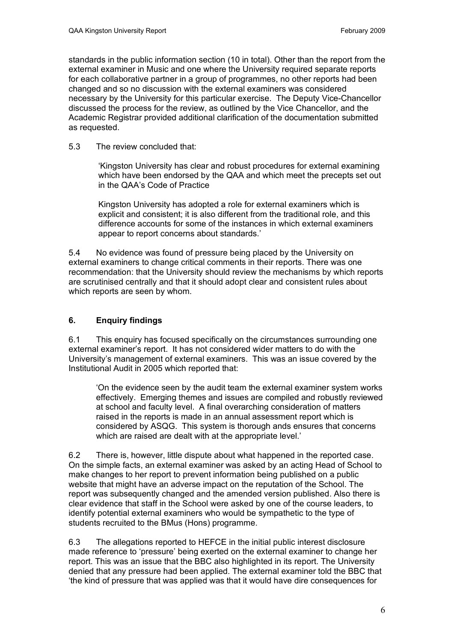standards in the public information section (10 in total). Other than the report from the external examiner in Music and one where the University required separate reports for each collaborative partner in a group of programmes, no other reports had been changed and so no discussion with the external examiners was considered necessary by the University for this particular exercise. The Deputy Vice-Chancellor discussed the process for the review, as outlined by the Vice Chancellor, and the Academic Registrar provided additional clarification of the documentation submitted as requested.

5.3 The review concluded that:

'Kingston University has clear and robust procedures for external examining which have been endorsed by the QAA and which meet the precepts set out in the QAA's Code of Practice

Kingston University has adopted a role for external examiners which is explicit and consistent; it is also different from the traditional role, and this difference accounts for some of the instances in which external examiners appear to report concerns about standards.'

5.4 No evidence was found of pressure being placed by the University on external examiners to change critical comments in their reports. There was one recommendation: that the University should review the mechanisms by which reports are scrutinised centrally and that it should adopt clear and consistent rules about which reports are seen by whom.

#### **6. Enquiry findings**

6.1 This enquiry has focused specifically on the circumstances surrounding one external examiner's report. It has not considered wider matters to do with the University's management of external examiners. This was an issue covered by the Institutional Audit in 2005 which reported that:

'On the evidence seen by the audit team the external examiner system works effectively. Emerging themes and issues are compiled and robustly reviewed at school and faculty level. A final overarching consideration of matters raised in the reports is made in an annual assessment report which is considered by ASQG. This system is thorough ands ensures that concerns which are raised are dealt with at the appropriate level.'

6.2 There is, however, little dispute about what happened in the reported case. On the simple facts, an external examiner was asked by an acting Head of School to make changes to her report to prevent information being published on a public website that might have an adverse impact on the reputation of the School. The report was subsequently changed and the amended version published. Also there is clear evidence that staff in the School were asked by one of the course leaders, to identify potential external examiners who would be sympathetic to the type of students recruited to the BMus (Hons) programme.

6.3 The allegations reported to HEFCE in the initial public interest disclosure made reference to 'pressure' being exerted on the external examiner to change her report. This was an issue that the BBC also highlighted in its report. The University denied that any pressure had been applied. The external examiner told the BBC that 'the kind of pressure that was applied was that it would have dire consequences for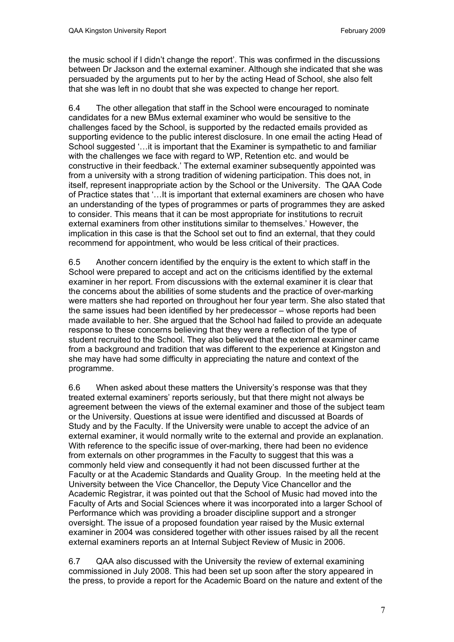the music school if I didn't change the report'. This was confirmed in the discussions between Dr Jackson and the external examiner. Although she indicated that she was persuaded by the arguments put to her by the acting Head of School, she also felt that she was left in no doubt that she was expected to change her report.

6.4 The other allegation that staff in the School were encouraged to nominate candidates for a new BMus external examiner who would be sensitive to the challenges faced by the School, is supported by the redacted emails provided as supporting evidence to the public interest disclosure. In one email the acting Head of School suggested '... it is important that the Examiner is sympathetic to and familiar with the challenges we face with regard to WP, Retention etc. and would be constructive in their feedback.' The external examiner subsequently appointed was from a university with a strong tradition of widening participation. This does not, in itself, represent inappropriate action by the School or the University. The QAA Code of Practice states that '…It is important that external examiners are chosen who have an understanding of the types of programmes or parts of programmes they are asked to consider. This means that it can be most appropriate for institutions to recruit external examiners from other institutions similar to themselves.' However, the implication in this case is that the School set out to find an external, that they could recommend for appointment, who would be less critical of their practices.

6.5 Another concern identified by the enquiry is the extent to which staff in the School were prepared to accept and act on the criticisms identified by the external examiner in her report. From discussions with the external examiner it is clear that the concerns about the abilities of some students and the practice of over-marking were matters she had reported on throughout her four year term. She also stated that the same issues had been identified by her predecessor – whose reports had been made available to her. She argued that the School had failed to provide an adequate response to these concerns believing that they were a reflection of the type of student recruited to the School. They also believed that the external examiner came from a background and tradition that was different to the experience at Kingston and she may have had some difficulty in appreciating the nature and context of the programme.

6.6 When asked about these matters the University's response was that they treated external examiners' reports seriously, but that there might not always be agreement between the views of the external examiner and those of the subject team or the University. Questions at issue were identified and discussed at Boards of Study and by the Faculty. If the University were unable to accept the advice of an external examiner, it would normally write to the external and provide an explanation. With reference to the specific issue of over-marking, there had been no evidence from externals on other programmes in the Faculty to suggest that this was a commonly held view and consequently it had not been discussed further at the Faculty or at the Academic Standards and Quality Group. In the meeting held at the University between the Vice Chancellor, the Deputy Vice Chancellor and the Academic Registrar, it was pointed out that the School of Music had moved into the Faculty of Arts and Social Sciences where it was incorporated into a larger School of Performance which was providing a broader discipline support and a stronger oversight. The issue of a proposed foundation year raised by the Music external examiner in 2004 was considered together with other issues raised by all the recent external examiners reports an at Internal Subject Review of Music in 2006.

6.7 QAA also discussed with the University the review of external examining commissioned in July 2008. This had been set up soon after the story appeared in the press, to provide a report for the Academic Board on the nature and extent of the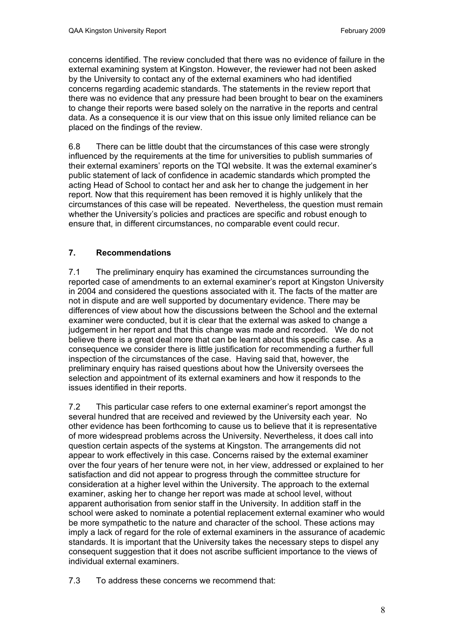concerns identified. The review concluded that there was no evidence of failure in the external examining system at Kingston. However, the reviewer had not been asked by the University to contact any of the external examiners who had identified concerns regarding academic standards. The statements in the review report that there was no evidence that any pressure had been brought to bear on the examiners to change their reports were based solely on the narrative in the reports and central data. As a consequence it is our view that on this issue only limited reliance can be placed on the findings of the review.

6.8 There can be little doubt that the circumstances of this case were strongly influenced by the requirements at the time for universities to publish summaries of their external examiners' reports on the TQI website. It was the external examiner's public statement of lack of confidence in academic standards which prompted the acting Head of School to contact her and ask her to change the judgement in her report. Now that this requirement has been removed it is highly unlikely that the circumstances of this case will be repeated. Nevertheless, the question must remain whether the University's policies and practices are specific and robust enough to ensure that, in different circumstances, no comparable event could recur.

# **7. Recommendations**

7.1 The preliminary enquiry has examined the circumstances surrounding the reported case of amendments to an external examiner's report at Kingston University in 2004 and considered the questions associated with it. The facts of the matter are not in dispute and are well supported by documentary evidence. There may be differences of view about how the discussions between the School and the external examiner were conducted, but it is clear that the external was asked to change a judgement in her report and that this change was made and recorded. We do not believe there is a great deal more that can be learnt about this specific case. As a consequence we consider there is little justification for recommending a further full inspection of the circumstances of the case. Having said that, however, the preliminary enquiry has raised questions about how the University oversees the selection and appointment of its external examiners and how it responds to the issues identified in their reports.

7.2 This particular case refers to one external examiner's report amongst the several hundred that are received and reviewed by the University each year. No other evidence has been forthcoming to cause us to believe that it is representative of more widespread problems across the University. Nevertheless, it does call into question certain aspects of the systems at Kingston. The arrangements did not appear to work effectively in this case. Concerns raised by the external examiner over the four years of her tenure were not, in her view, addressed or explained to her satisfaction and did not appear to progress through the committee structure for consideration at a higher level within the University. The approach to the external examiner, asking her to change her report was made at school level, without apparent authorisation from senior staff in the University. In addition staff in the school were asked to nominate a potential replacement external examiner who would be more sympathetic to the nature and character of the school. These actions may imply a lack of regard for the role of external examiners in the assurance of academic standards. It is important that the University takes the necessary steps to dispel any consequent suggestion that it does not ascribe sufficient importance to the views of individual external examiners.

7.3 To address these concerns we recommend that: